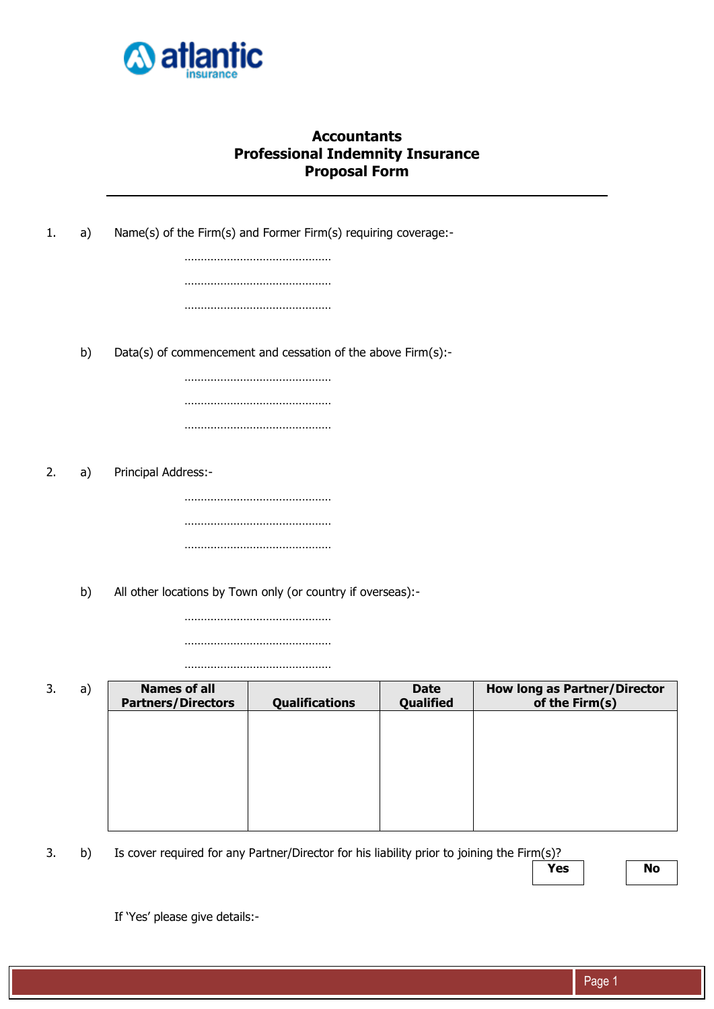

## **Accountants Professional Indemnity Insurance Proposal Form**

| 1. | a) | Name(s) of the Firm(s) and Former Firm(s) requiring coverage:- |                       |             |                                     |
|----|----|----------------------------------------------------------------|-----------------------|-------------|-------------------------------------|
|    |    |                                                                |                       |             |                                     |
|    |    |                                                                |                       |             |                                     |
|    |    |                                                                |                       |             |                                     |
|    |    |                                                                |                       |             |                                     |
|    | b) | Data(s) of commencement and cessation of the above Firm(s):-   |                       |             |                                     |
|    |    |                                                                |                       |             |                                     |
|    |    |                                                                |                       |             |                                     |
|    |    |                                                                |                       |             |                                     |
|    |    |                                                                |                       |             |                                     |
| 2. | a) | Principal Address:-                                            |                       |             |                                     |
|    |    |                                                                |                       |             |                                     |
|    |    |                                                                |                       |             |                                     |
|    |    |                                                                |                       |             |                                     |
|    |    |                                                                |                       |             |                                     |
|    | b) | All other locations by Town only (or country if overseas):-    |                       |             |                                     |
|    |    |                                                                |                       |             |                                     |
|    |    |                                                                |                       |             |                                     |
| 3. | a) | <b>Names of all</b>                                            |                       | <b>Date</b> | <b>How long as Partner/Director</b> |
|    |    | <b>Partners/Directors</b>                                      | <b>Qualifications</b> | Qualified   | of the Firm(s)                      |
|    |    |                                                                |                       |             |                                     |
|    |    |                                                                |                       |             |                                     |
|    |    |                                                                |                       |             |                                     |
|    |    |                                                                |                       |             |                                     |

3. b) Is cover required for any Partner/Director for his liability prior to joining the Firm(s)?

**Yes No**

If 'Yes' please give details:-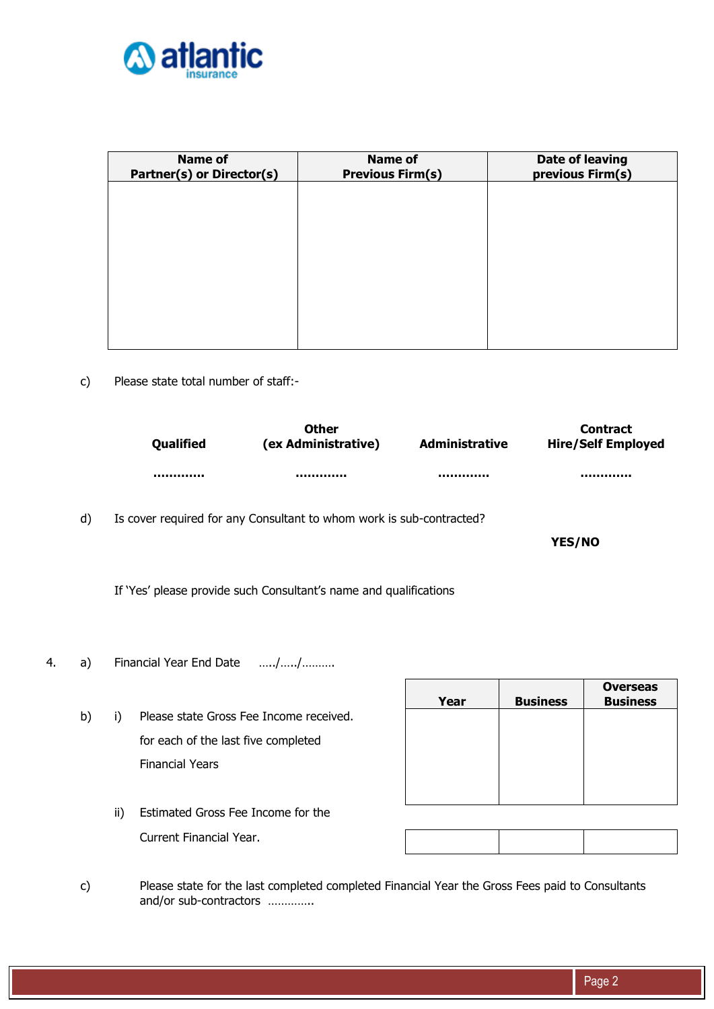

| <b>Name of</b><br><b>Partner(s) or Director(s)</b> | <b>Name of</b><br><b>Previous Firm(s)</b> | Date of leaving<br>previous Firm(s) |
|----------------------------------------------------|-------------------------------------------|-------------------------------------|
|                                                    |                                           |                                     |
|                                                    |                                           |                                     |
|                                                    |                                           |                                     |
|                                                    |                                           |                                     |
|                                                    |                                           |                                     |

c) Please state total number of staff:-

| <b>Oualified</b> | Other<br>(ex Administrative) | <b>Administrative</b> | <b>Contract</b><br><b>Hire/Self Employed</b> |
|------------------|------------------------------|-----------------------|----------------------------------------------|
|                  |                              |                       |                                              |

**Contract Contract** 

d) Is cover required for any Consultant to whom work is sub-contracted?

**YES/NO**

If 'Yes' please provide such Consultant's name and qualifications

- 4. a) Financial Year End Date …../…../……….
	- b) i) Please state Gross Fee Income received. for each of the last five completed Financial Years

| Year | <b>Business</b> | <b>Overseas</b><br><b>Business</b> |
|------|-----------------|------------------------------------|
|      |                 |                                    |
|      |                 |                                    |
|      |                 |                                    |
|      |                 |                                    |

ii) Estimated Gross Fee Income for the Current Financial Year.

c) Please state for the last completed completed Financial Year the Gross Fees paid to Consultants and/or sub-contractors …………..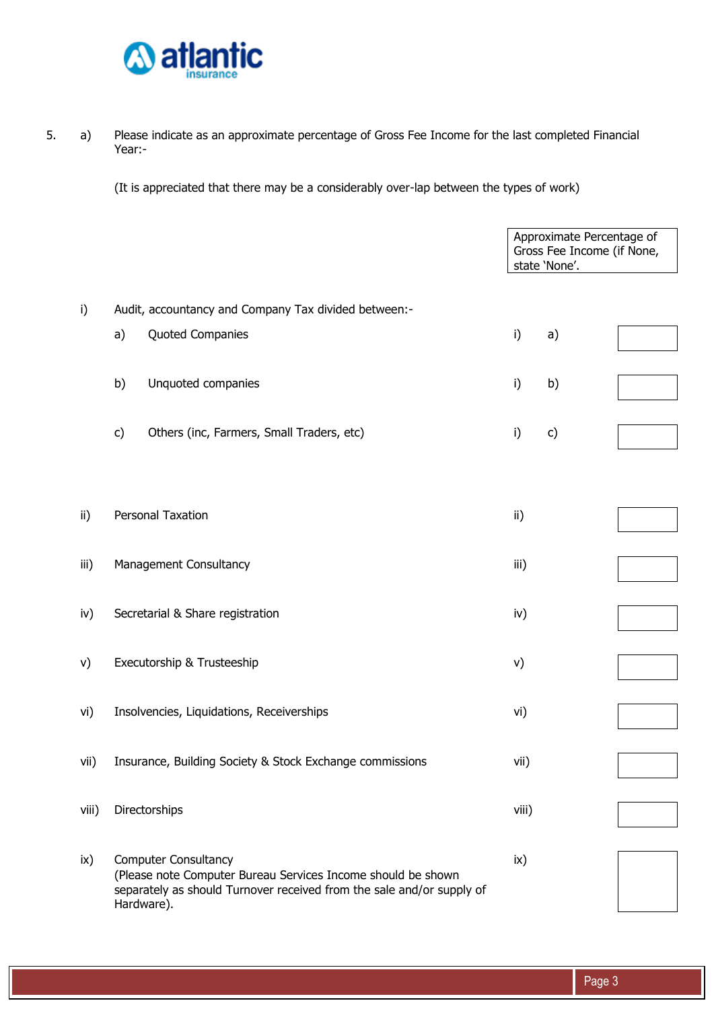

5. a) Please indicate as an approximate percentage of Gross Fee Income for the last completed Financial Year:-

(It is appreciated that there may be a considerably over-lap between the types of work)

|       |                                                                                                                                                                                    | Approximate Percentage of<br>Gross Fee Income (if None,<br>state 'None'. |  |
|-------|------------------------------------------------------------------------------------------------------------------------------------------------------------------------------------|--------------------------------------------------------------------------|--|
| i)    | Audit, accountancy and Company Tax divided between:-                                                                                                                               |                                                                          |  |
|       | Quoted Companies<br>a)                                                                                                                                                             | i)<br>a)                                                                 |  |
|       | Unquoted companies<br>b)                                                                                                                                                           | i)<br>b)                                                                 |  |
|       | c)<br>Others (inc, Farmers, Small Traders, etc)                                                                                                                                    | i)<br>c)                                                                 |  |
|       |                                                                                                                                                                                    |                                                                          |  |
| ii)   | Personal Taxation                                                                                                                                                                  | ii)                                                                      |  |
| iii)  | Management Consultancy                                                                                                                                                             | iii)                                                                     |  |
| iv)   | Secretarial & Share registration                                                                                                                                                   | iv)                                                                      |  |
| V)    | Executorship & Trusteeship                                                                                                                                                         | v)                                                                       |  |
| vi)   | Insolvencies, Liquidations, Receiverships                                                                                                                                          | vi)                                                                      |  |
| vii)  | Insurance, Building Society & Stock Exchange commissions                                                                                                                           | vii)                                                                     |  |
| viii) | Directorships                                                                                                                                                                      | viii)                                                                    |  |
| ix)   | <b>Computer Consultancy</b><br>(Please note Computer Bureau Services Income should be shown<br>separately as should Turnover received from the sale and/or supply of<br>Hardware). | ix)                                                                      |  |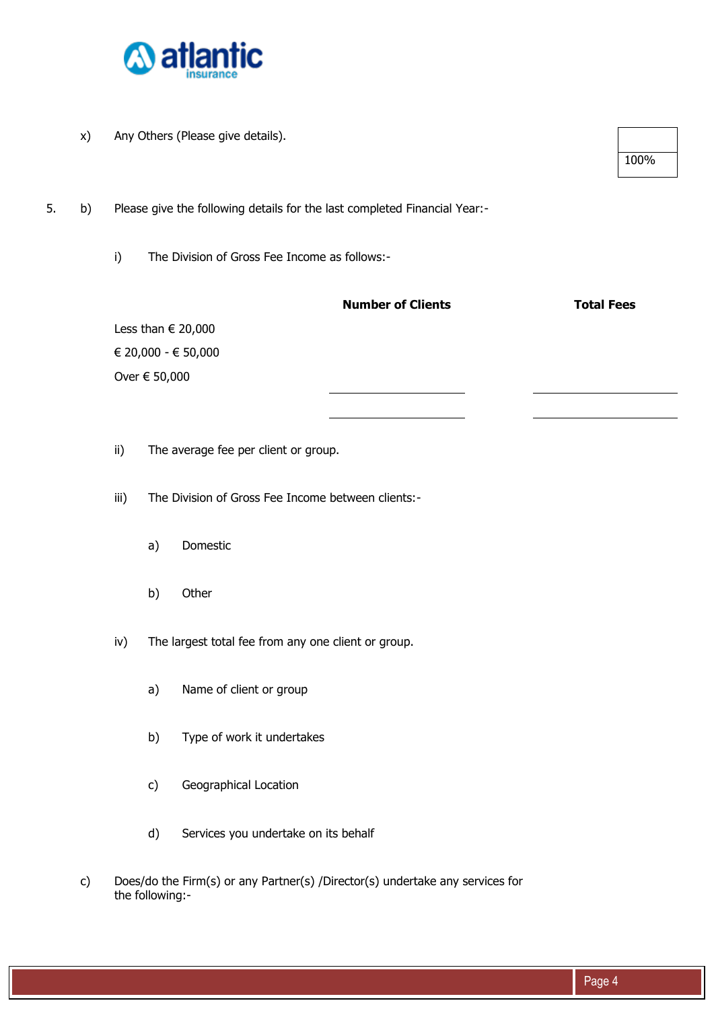

x) Any Others (Please give details).

5. b) Please give the following details for the last completed Financial Year:-

i) The Division of Gross Fee Income as follows:-

|                             | <b>Number of Clients</b> | <b>Total Fees</b> |
|-----------------------------|--------------------------|-------------------|
| Less than $\in$ 20,000      |                          |                   |
| $\in$ 20,000 - $\in$ 50,000 |                          |                   |
| Over € 50,000               |                          |                   |
|                             |                          |                   |
|                             |                          |                   |

ii) The average fee per client or group.

iii) The Division of Gross Fee Income between clients:-

- a) Domestic
- b) Other

iv) The largest total fee from any one client or group.

- a) Name of client or group
- b) Type of work it undertakes
- c) Geographical Location
- d) Services you undertake on its behalf
- c) Does/do the Firm(s) or any Partner(s) /Director(s) undertake any services for the following:-

100%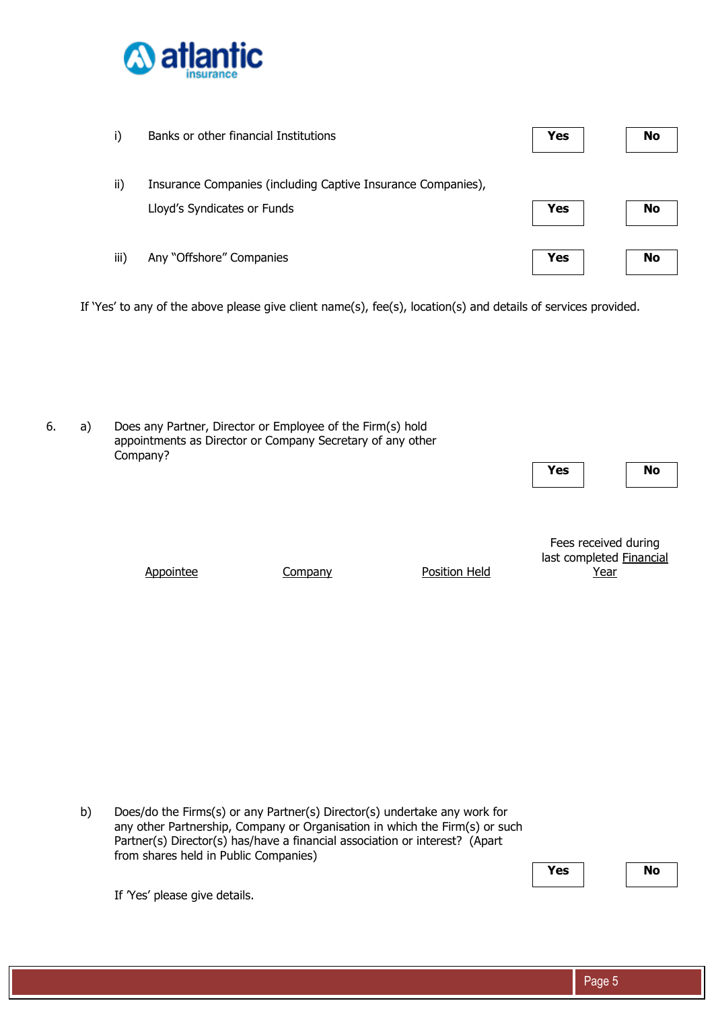

| i)   | Banks or other financial Institutions                                                       | Yes | <b>No</b> |
|------|---------------------------------------------------------------------------------------------|-----|-----------|
| ii)  | Insurance Companies (including Captive Insurance Companies),<br>Lloyd's Syndicates or Funds | Yes | <b>No</b> |
| iii) | Any "Offshore" Companies                                                                    | Yes | No        |

If 'Yes' to any of the above please give client name(s), fee(s), location(s) and details of services provided.

6. a) Does any Partner, Director or Employee of the Firm(s) hold appointments as Director or Company Secretary of any other Company? **Yes No** 

Appointee Company Position Held

Fees received during last completed Financial Year

b) Does/do the Firms(s) or any Partner(s) Director(s) undertake any work for any other Partnership, Company or Organisation in which the Firm(s) or such Partner(s) Director(s) has/have a financial association or interest? (Apart from shares held in Public Companies)

**Yes** | **No** 

If 'Yes' please give details.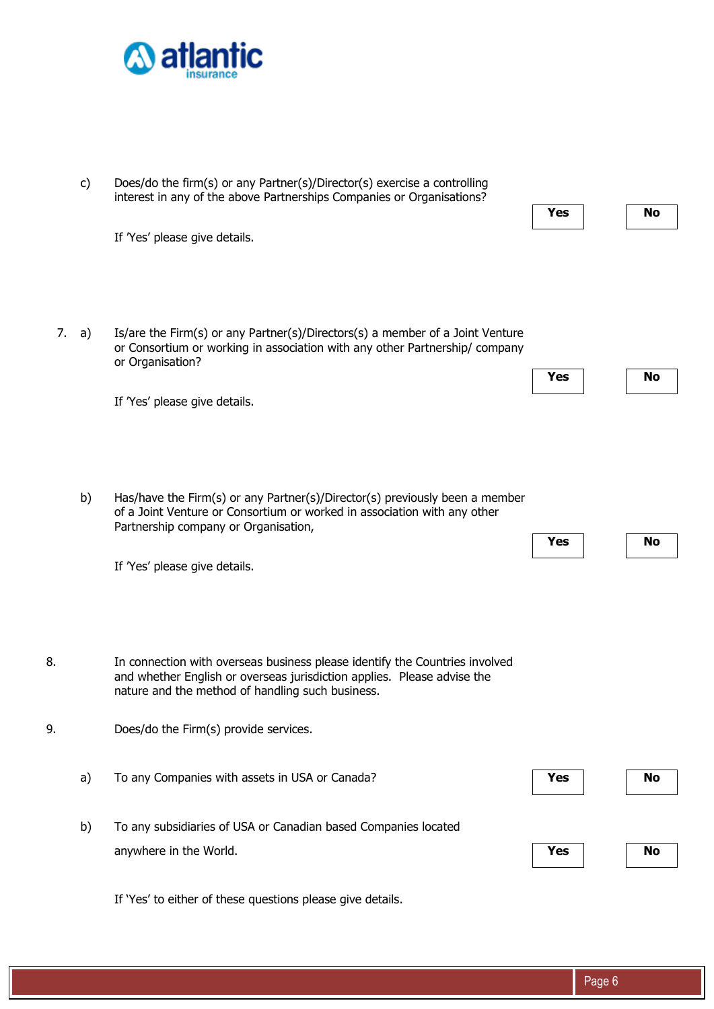

|    | c)    | Does/do the firm(s) or any Partner(s)/Director(s) exercise a controlling<br>interest in any of the above Partnerships Companies or Organisations?                                                          |            |           |
|----|-------|------------------------------------------------------------------------------------------------------------------------------------------------------------------------------------------------------------|------------|-----------|
|    |       |                                                                                                                                                                                                            | <b>Yes</b> | <b>No</b> |
|    |       | If 'Yes' please give details.                                                                                                                                                                              |            |           |
|    | 7. a) | Is/are the Firm(s) or any Partner(s)/Directors(s) a member of a Joint Venture<br>or Consortium or working in association with any other Partnership/company<br>or Organisation?                            | Yes        | <b>No</b> |
|    |       | If 'Yes' please give details.                                                                                                                                                                              |            |           |
|    | b)    | Has/have the Firm(s) or any Partner(s)/Director(s) previously been a member<br>of a Joint Venture or Consortium or worked in association with any other<br>Partnership company or Organisation,            | Yes        | No        |
|    |       | If 'Yes' please give details.                                                                                                                                                                              |            |           |
| 8. |       | In connection with overseas business please identify the Countries involved<br>and whether English or overseas jurisdiction applies. Please advise the<br>nature and the method of handling such business. |            |           |
| 9. |       | Does/do the Firm(s) provide services.                                                                                                                                                                      |            |           |
|    | a)    | To any Companies with assets in USA or Canada?                                                                                                                                                             | <b>Yes</b> | No        |
|    | b)    | To any subsidiaries of USA or Canadian based Companies located<br>anywhere in the World.                                                                                                                   | <b>Yes</b> | No        |

If 'Yes' to either of these questions please give details.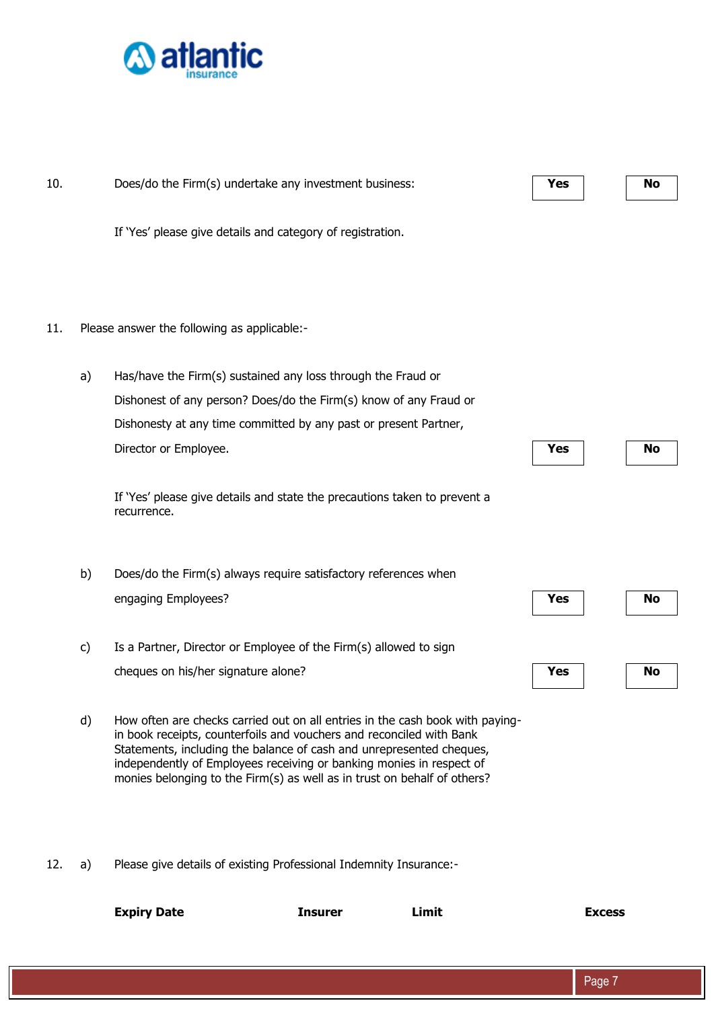

| 10. |    | Does/do the Firm(s) undertake any investment business:                                                                                                                                                                                                                                                                                                                            |                |       | Yes           | No |
|-----|----|-----------------------------------------------------------------------------------------------------------------------------------------------------------------------------------------------------------------------------------------------------------------------------------------------------------------------------------------------------------------------------------|----------------|-------|---------------|----|
|     |    | If 'Yes' please give details and category of registration.                                                                                                                                                                                                                                                                                                                        |                |       |               |    |
|     |    |                                                                                                                                                                                                                                                                                                                                                                                   |                |       |               |    |
| 11. |    | Please answer the following as applicable:-                                                                                                                                                                                                                                                                                                                                       |                |       |               |    |
|     | a) | Has/have the Firm(s) sustained any loss through the Fraud or                                                                                                                                                                                                                                                                                                                      |                |       |               |    |
|     |    | Dishonest of any person? Does/do the Firm(s) know of any Fraud or                                                                                                                                                                                                                                                                                                                 |                |       |               |    |
|     |    | Dishonesty at any time committed by any past or present Partner,                                                                                                                                                                                                                                                                                                                  |                |       |               |    |
|     |    | Director or Employee.                                                                                                                                                                                                                                                                                                                                                             |                |       | Yes           | No |
|     |    | If 'Yes' please give details and state the precautions taken to prevent a<br>recurrence.                                                                                                                                                                                                                                                                                          |                |       |               |    |
|     | b) | Does/do the Firm(s) always require satisfactory references when                                                                                                                                                                                                                                                                                                                   |                |       |               |    |
|     |    | engaging Employees?                                                                                                                                                                                                                                                                                                                                                               |                |       | Yes           | No |
|     | C) | Is a Partner, Director or Employee of the Firm(s) allowed to sign                                                                                                                                                                                                                                                                                                                 |                |       |               |    |
|     |    | cheques on his/her signature alone?                                                                                                                                                                                                                                                                                                                                               |                |       | Yes           | No |
|     | d) | How often are checks carried out on all entries in the cash book with paying-<br>in book receipts, counterfoils and vouchers and reconciled with Bank<br>Statements, including the balance of cash and unrepresented cheques,<br>independently of Employees receiving or banking monies in respect of<br>monies belonging to the Firm(s) as well as in trust on behalf of others? |                |       |               |    |
| 12. | a) | Please give details of existing Professional Indemnity Insurance:-                                                                                                                                                                                                                                                                                                                |                |       |               |    |
|     |    | <b>Expiry Date</b>                                                                                                                                                                                                                                                                                                                                                                | <b>Insurer</b> | Limit | <b>Excess</b> |    |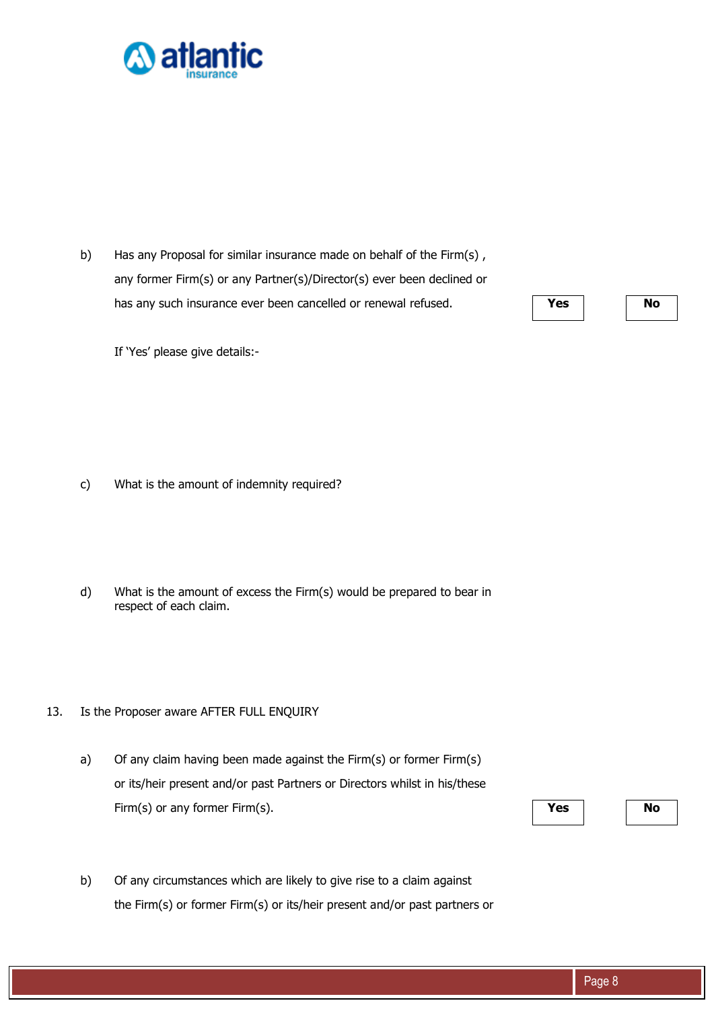

b) Has any Proposal for similar insurance made on behalf of the Firm(s), any former Firm(s) or any Partner(s)/Director(s) ever been declined or has any such insurance ever been cancelled or renewal refused. **Yes Yes No** 

c) What is the amount of indemnity required?

If 'Yes' please give details:-

- d) What is the amount of excess the Firm(s) would be prepared to bear in respect of each claim.
- 13. Is the Proposer aware AFTER FULL ENQUIRY
	- a) Of any claim having been made against the Firm(s) or former Firm(s) or its/heir present and/or past Partners or Directors whilst in his/these Firm(s) or any former Firm(s). **No**

b) Of any circumstances which are likely to give rise to a claim against the Firm(s) or former Firm(s) or its/heir present and/or past partners or